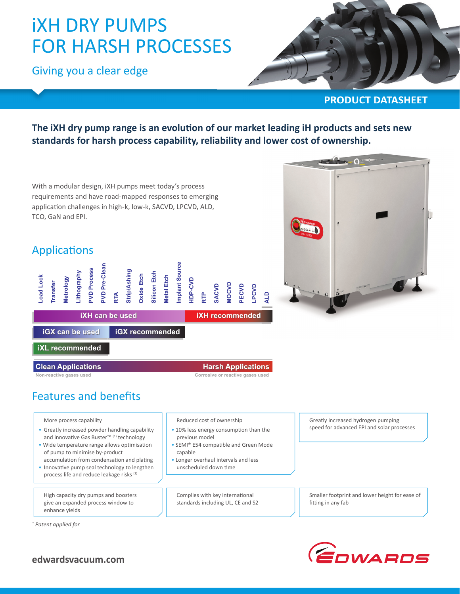# iXH DRY PUMPS FOR HARSH PROCESSES

Giving you a clear edge



#### **PRODUCT DATASHEET**

The iXH dry pump range is an evolution of our market leading iH products and sets new **standards for harsh process capability, reliability and lower cost of ownership.**

With a modular design, iXH pumps meet today's process requirements and have road-mapped responses to emerging application challenges in high-k, low-k, SACVD, LPCVD, ALD, TCO, GaN and EPI.

### **Applications**



 $\bullet$ 

**iGX can be used iGX can be iGX recommended iGX**

**iXL recommended recommended**

#### **CleanApplications Applications HarshApplications Applications**

**Non-reactive gases used Corrosive or reactive gases used**

# Features and benefits

More process capability

- Greatly increased powder handling capability and innovative Gas Buster™ (1) technology
- Wide temperature range allows optimisation of pump to minimise by-product accumulation from condensation and plating
- Innovative pump seal technology to lengthen process life and reduce leakage risks (1)

 High capacity dry pumps and boosters give an expanded process window to enhance yields

*1 Patent applied for*

Reduced cost of ownership

- 10% less energy consumption than the previous model
- SEMI® E54 compatible and Green Mode capable
- Longer overhaul intervals and less unscheduled down time

Complies with key international standards including UL, CE and S2 Greatly increased hydrogen pumping speed for advanced EPI and solar processes

 Smaller footprint and lower height for ease of fitting in any fab



**edwardsvacuum.com**